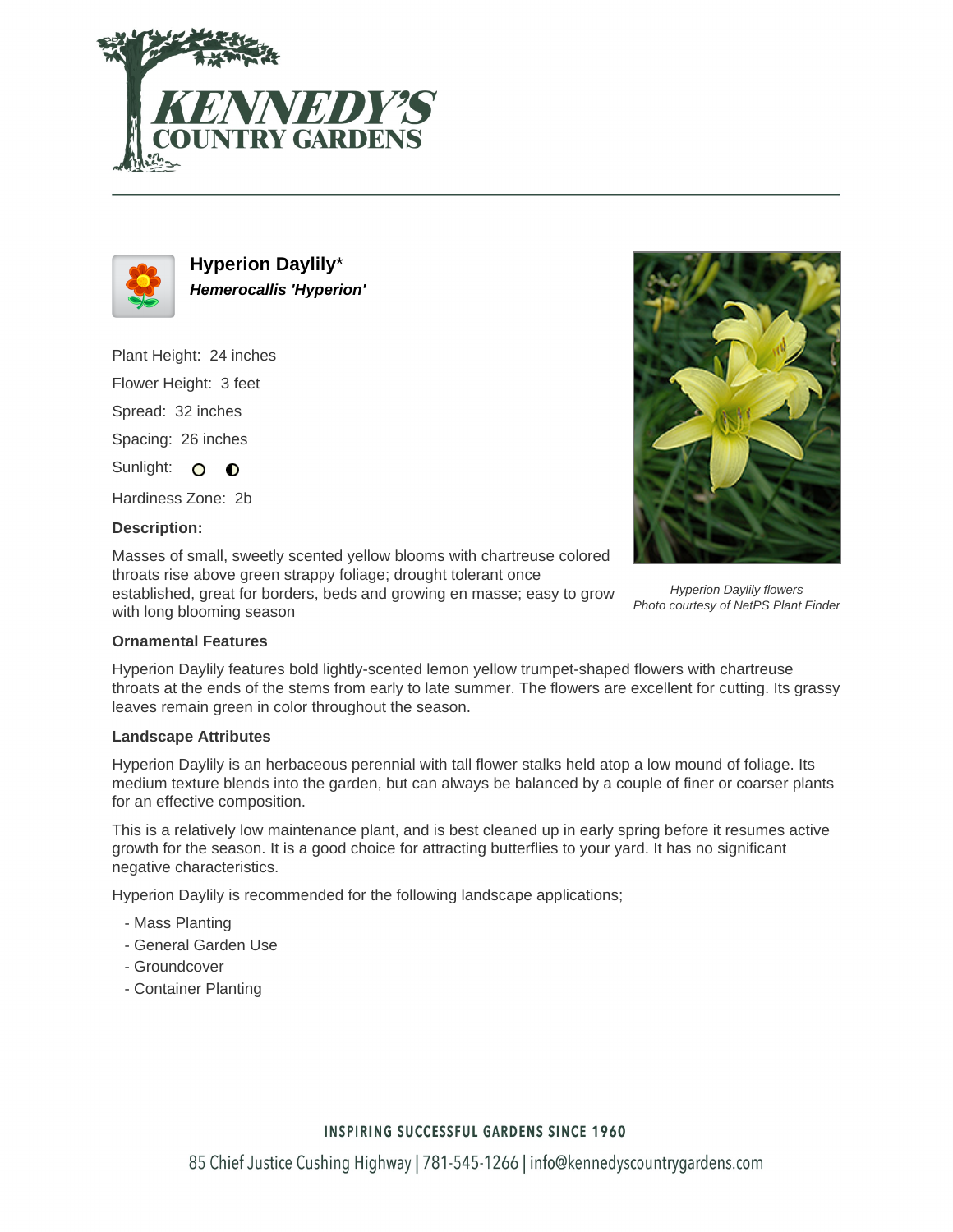



**Hyperion Daylily**\* **Hemerocallis 'Hyperion'**

Plant Height: 24 inches

Flower Height: 3 feet

Spread: 32 inches

Spacing: 26 inches

Sunlight: O  $\bullet$ 

Hardiness Zone: 2b

## **Description:**

Masses of small, sweetly scented yellow blooms with chartreuse colored throats rise above green strappy foliage; drought tolerant once

established, great for borders, beds and growing en masse; easy to grow with long blooming season



Hyperion Daylily flowers Photo courtesy of NetPS Plant Finder

## **Ornamental Features**

Hyperion Daylily features bold lightly-scented lemon yellow trumpet-shaped flowers with chartreuse throats at the ends of the stems from early to late summer. The flowers are excellent for cutting. Its grassy leaves remain green in color throughout the season.

#### **Landscape Attributes**

Hyperion Daylily is an herbaceous perennial with tall flower stalks held atop a low mound of foliage. Its medium texture blends into the garden, but can always be balanced by a couple of finer or coarser plants for an effective composition.

This is a relatively low maintenance plant, and is best cleaned up in early spring before it resumes active growth for the season. It is a good choice for attracting butterflies to your yard. It has no significant negative characteristics.

Hyperion Daylily is recommended for the following landscape applications;

- Mass Planting
- General Garden Use
- Groundcover
- Container Planting

# **INSPIRING SUCCESSFUL GARDENS SINCE 1960**